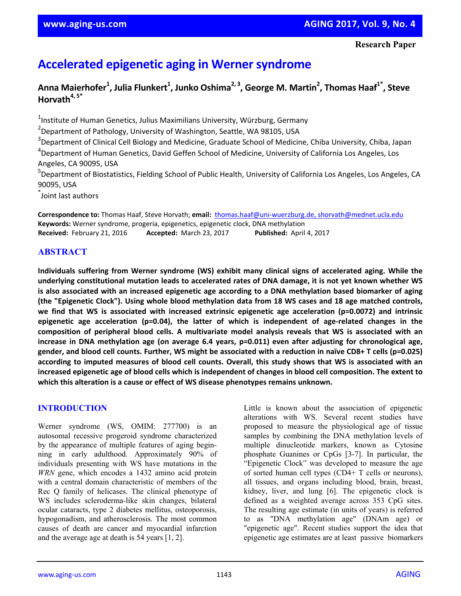# **Accelerated epigenetic aging in Werner syndrome**

# **Anna Maierhofer1 , Julia Flunkert1 , Junko Oshima2, <sup>3</sup> , George M. Martin2 , Thomas Haaf1\*, Steve Horvath4, 5\***

<sup>1</sup>Institute of Human Genetics, Julius Maximilians University, Würzburg, Germany <sup>2</sup>Department of Pathology, University of Washington, Seattle, WA 98105, USA <sup>3</sup>Department of Clinical Cell Biology and Medicine, Graduate School of Medicine, Chiba University, Chiba, Japan 4 Department of Human Genetics, David Geffen School of Medicine, University of California Los Angeles, Los Angeles, CA 90095, USA <sup>5</sup>Department of Biostatistics, Fielding School of Public Health, University of California Los Angeles, Los Angeles, CA 90095, USA

\* Joint last authors

**Correspondence to:** Thomas Haaf, Steve Horvath; **email:** thomas.haaf@uni‐wuerzburg.de, shorvath@mednet.ucla.edu **Keywords:** Werner syndrome, progeria, epigenetics, epigenetic clock, DNA methylation **Received:** February 21, 2016 **Accepted:** March 23, 2017 **Published:** April 4, 2017

# **ABSTRACT**

**Individuals suffering from Werner syndrome (WS) exhibit many clinical signs of accelerated aging. While the** underlying constitutional mutation leads to accelerated rates of DNA damage, it is not yet known whether WS is also associated with an increased epigenetic age according to a DNA methylation based biomarker of aging (the "Epigenetic Clock"). Using whole blood methylation data from 18 WS cases and 18 age matched controls, **we find that WS is associated with increased extrinsic epigenetic age acceleration (p=0.0072) and intrinsic epigenetic age acceleration (p=0.04), the latter of which is independent of age‐related changes in the composition of peripheral blood cells. A multivariate model analysis reveals that WS is associated with an increase in DNA methylation age (on average 6.4 years, p=0.011) even after adjusting for chronological age,** gender, and blood cell counts. Further, WS might be associated with a reduction in naïve CD8+ T cells (p=0.025) according to imputed measures of blood cell counts. Overall, this study shows that WS is associated with an increased epigenetic age of blood cells which is independent of changes in blood cell composition. The extent to **which this alteration is a cause or effect of WS disease phenotypes remains unknown.**

## **INTRODUCTION**

Werner syndrome (WS, OMIM: 277700) is an autosomal recessive progeroid syndrome characterized by the appearance of multiple features of aging beginning in early adulthood. Approximately 90% of individuals presenting with WS have mutations in the *WRN* gene, which encodes a 1432 amino acid protein with a central domain characteristic of members of the Rec Q family of helicases. The clinical phenotype of WS includes scleroderma-like skin changes, bilateral ocular cataracts, type 2 diabetes mellitus, osteoporosis, hypogonadism, and atherosclerosis. The most common causes of death are cancer and myocardial infarction and the average age at death is 54 years [1, 2].

Little is known about the association of epigenetic alterations with WS. Several recent studies have proposed to measure the physiological age of tissue samples by combining the DNA methylation levels of multiple dinucleotide markers, known as Cytosine phosphate Guanines or CpGs [3-7]. In particular, the "Epigenetic Clock" was developed to measure the age of sorted human cell types (CD4+ T cells or neurons), all tissues, and organs including blood, brain, breast, kidney, liver, and lung [6]. The epigenetic clock is defined as a weighted average across 353 CpG sites. The resulting age estimate (in units of years) is referred to as "DNA methylation age" (DNAm age) or "epigenetic age". Recent studies support the idea that epigenetic age estimates are at least passive biomarkers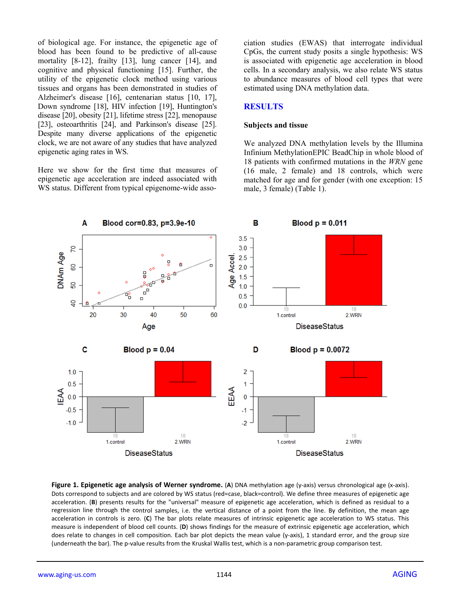of biological age. For instance, the epigenetic age of blood has been found to be predictive of all-cause mortality [8-12], frailty [13], lung cancer [14], and cognitive and physical functioning [15]. Further, the utility of the epigenetic clock method using various tissues and organs has been demonstrated in studies of Alzheimer's disease [16], centenarian status [10, 17], Down syndrome [18], HIV infection [19], Huntington's disease [20], obesity [21], lifetime stress [22], menopause [23], osteoarthritis [24], and Parkinson's disease [25]. Despite many diverse applications of the epigenetic clock, we are not aware of any studies that have analyzed epigenetic aging rates in WS.

Here we show for the first time that measures of epigenetic age acceleration are indeed associated with WS status. Different from typical epigenome-wide association studies (EWAS) that interrogate individual CpGs, the current study posits a single hypothesis: WS is associated with epigenetic age acceleration in blood cells. In a secondary analysis, we also relate WS status to abundance measures of blood cell types that were estimated using DNA methylation data.

#### **RESULTS**

#### **Subjects and tissue**

We analyzed DNA methylation levels by the Illumina Infinium MethylationEPIC BeadChip in whole blood of 18 patients with confirmed mutations in the *WRN* gene (16 male, 2 female) and 18 controls, which were matched for age and for gender (with one exception: 15 male, 3 female) (Table 1).



**Figure 1. Epigenetic age analysis of Werner syndrome.** (**A**) DNA methylation age (y‐axis) versus chronological age (x‐axis). Dots correspond to subjects and are colored by WS status (red=case, black=control). We define three measures of epigenetic age acceleration. (**B**) presents results for the "universal" measure of epigenetic age acceleration, which is defined as residual to a regression line through the control samples, i.e. the vertical distance of a point from the line. By definition, the mean age acceleration in controls is zero. (**C**) The bar plots relate measures of intrinsic epigenetic age acceleration to WS status. This measure is independent of blood cell counts. (**D**) shows findings for the measure of extrinsic epigenetic age acceleration, which does relate to changes in cell composition. Each bar plot depicts the mean value (y-axis), 1 standard error, and the group size (underneath the bar). The p‐value results from the Kruskal Wallis test, which is a non‐parametric group comparison test.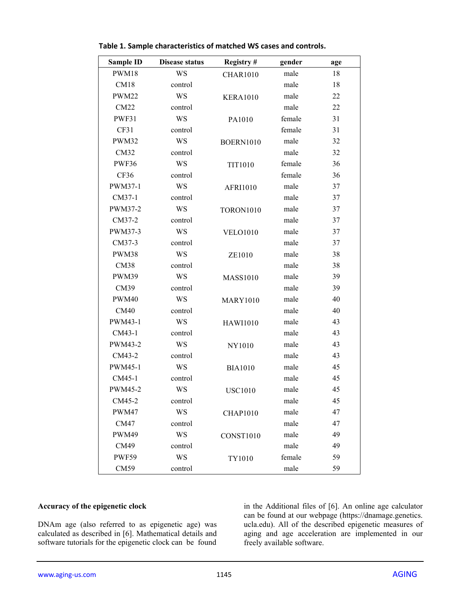| <b>Sample ID</b> | <b>Disease status</b> | Registry#        | gender | age |
|------------------|-----------------------|------------------|--------|-----|
| <b>PWM18</b>     | WS                    | <b>CHAR1010</b>  | male   | 18  |
| CM18             | control               |                  | male   | 18  |
| <b>PWM22</b>     | WS                    | <b>KERA1010</b>  | male   | 22  |
| CM22             | control               |                  | male   | 22  |
| PWF31            | WS                    | PA1010           | female | 31  |
| CF31             | control               |                  | female | 31  |
| PWM32            | WS                    | <b>BOERN1010</b> | male   | 32  |
| CM32             | control               |                  | male   | 32  |
| PWF36            | WS                    | <b>TIT1010</b>   | female | 36  |
| CF36             | control               |                  | female | 36  |
| PWM37-1          | WS                    | AFRI1010         | male   | 37  |
| CM37-1           | control               |                  | male   | 37  |
| PWM37-2          | WS                    | <b>TORON1010</b> | male   | 37  |
| CM37-2           | control               |                  | male   | 37  |
| PWM37-3          | WS                    | <b>VELO1010</b>  | male   | 37  |
| CM37-3           | control               |                  | male   | 37  |
| PWM38            | WS                    | ZE1010           | male   | 38  |
| CM38             | control               |                  | male   | 38  |
| PWM39            | WS                    | <b>MASS1010</b>  | male   | 39  |
| CM39             | control               |                  | male   | 39  |
| <b>PWM40</b>     | WS                    | <b>MARY1010</b>  | male   | 40  |
| CM40             | control               |                  | male   | 40  |
| PWM43-1          | WS                    | <b>HAWI1010</b>  | male   | 43  |
| CM43-1           | control               |                  | male   | 43  |
| PWM43-2          | WS                    | NY1010           | male   | 43  |
| CM43-2           | control               |                  | male   | 43  |
| PWM45-1          | WS                    | <b>BIA1010</b>   | male   | 45  |
| CM45-1           | control               |                  | male   | 45  |
| PWM45-2          | WS                    | <b>USC1010</b>   | male   | 45  |
| CM45-2           | control               |                  | male   | 45  |
| PWM47            | <b>WS</b>             | <b>CHAP1010</b>  | male   | 47  |
| <b>CM47</b>      | control               |                  | male   | 47  |
| PWM49            | WS                    | CONST1010        | male   | 49  |
| CM49             | control               |                  | male   | 49  |
| <b>PWF59</b>     | <b>WS</b>             | TY1010           | female | 59  |
| CM59             | control               |                  | male   | 59  |

**Table 1. Sample characteristics of matched WS cases and controls.**

#### **Accuracy of the epigenetic clock**

DNAm age (also referred to as epigenetic age) was calculated as described in [6]. Mathematical details and software tutorials for the epigenetic clock can be found in the Additional files of [6]. An online age calculator can be found at our webpage (https://dnamage.genetics. ucla.edu). All of the described epigenetic measures of aging and age acceleration are implemented in our freely available software.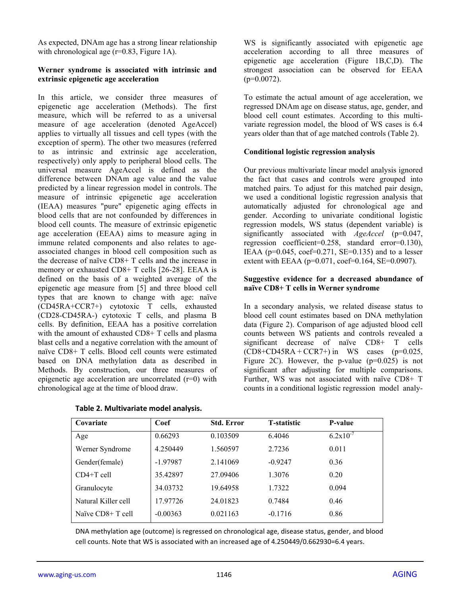As expected, DNAm age has a strong linear relationship with chronological age  $(r=0.83,$  Figure 1A).

#### **Werner syndrome is associated with intrinsic and extrinsic epigenetic age acceleration**

In this article, we consider three measures of epigenetic age acceleration (Methods). The first measure, which will be referred to as a universal measure of age acceleration (denoted AgeAccel) applies to virtually all tissues and cell types (with the exception of sperm). The other two measures (referred to as intrinsic and extrinsic age acceleration, respectively) only apply to peripheral blood cells. The universal measure AgeAccel is defined as the difference between DNAm age value and the value predicted by a linear regression model in controls. The measure of intrinsic epigenetic age acceleration (IEAA) measures "pure" epigenetic aging effects in blood cells that are not confounded by differences in blood cell counts. The measure of extrinsic epigenetic age acceleration (EEAA) aims to measure aging in immune related components and also relates to ageassociated changes in blood cell composition such as the decrease of naïve CD8+ T cells and the increase in memory or exhausted CD8+ T cells [26-28]. EEAA is defined on the basis of a weighted average of the epigenetic age measure from [5] and three blood cell types that are known to change with age: naïve (CD45RA+CCR7+) cytotoxic T cells, exhausted (CD28-CD45RA-) cytotoxic T cells, and plasma B cells. By definition, EEAA has a positive correlation with the amount of exhausted CD8+ T cells and plasma blast cells and a negative correlation with the amount of naïve CD8+ T cells. Blood cell counts were estimated based on DNA methylation data as described in Methods. By construction, our three measures of epigenetic age acceleration are uncorrelated (r=0) with chronological age at the time of blood draw.

|  | Table 2. Multivariate model analysis. |  |  |
|--|---------------------------------------|--|--|
|--|---------------------------------------|--|--|

WS is significantly associated with epigenetic age acceleration according to all three measures of epigenetic age acceleration (Figure 1B,C,D). The strongest association can be observed for EEAA  $(p=0.0072)$ .

To estimate the actual amount of age acceleration, we regressed DNAm age on disease status, age, gender, and blood cell count estimates. According to this multivariate regression model, the blood of WS cases is 6.4 years older than that of age matched controls (Table 2).

## **Conditional logistic regression analysis**

Our previous multivariate linear model analysis ignored the fact that cases and controls were grouped into matched pairs. To adjust for this matched pair design, we used a conditional logistic regression analysis that automatically adjusted for chronological age and gender. According to univariate conditional logistic regression models, WS status (dependent variable) is significantly associated with *AgeAccel* (p=0.047, regression coefficient=0.258, standard error=0.130), IEAA ( $p=0.045$ ,  $\text{coef}=0.271$ ,  $SE=0.135$ ) and to a lesser extent with EEAA ( $p=0.071$ , coef=0.164, SE=0.0907).

#### **Suggestive evidence for a decreased abundance of naïve CD8+ T cells in Werner syndrome**

In a secondary analysis, we related disease status to blood cell count estimates based on DNA methylation data (Figure 2). Comparison of age adjusted blood cell counts between WS patients and controls revealed a significant decrease of naïve CD8+ T cells  $(CD8+CD45RA+CCR7+)$  in WS cases (p=0.025, Figure 2C). However, the p-value  $(p=0.025)$  is not significant after adjusting for multiple comparisons. Further, WS was not associated with naïve CD8+ T counts in a conditional logistic regression model analy-

| Covariate           | Coef       | <b>Std. Error</b> | <b>T</b> -statistic | P-value       |
|---------------------|------------|-------------------|---------------------|---------------|
| Age                 | 0.66293    | 0.103509          | 6.4046              | $6.2x10^{-7}$ |
| Werner Syndrome     | 4.250449   | 1.560597          | 2.7236              | 0.011         |
| Gender(female)      | $-1.97987$ | 2.141069          | $-0.9247$           | 0.36          |
| $CD4+T$ cell        | 35.42897   | 27.09406          | 1.3076              | 0.20          |
| Granulocyte         | 34.03732   | 19.64958          | 1.7322              | 0.094         |
| Natural Killer cell | 17.97726   | 24.01823          | 0.7484              | 0.46          |
| Naïve CD8+ T cell   | $-0.00363$ | 0.021163          | $-0.1716$           | 0.86          |

DNA methylation age (outcome) is regressed on chronological age, disease status, gender, and blood cell counts. Note that WS is associated with an increased age of 4.250449/0.662930=6.4 years.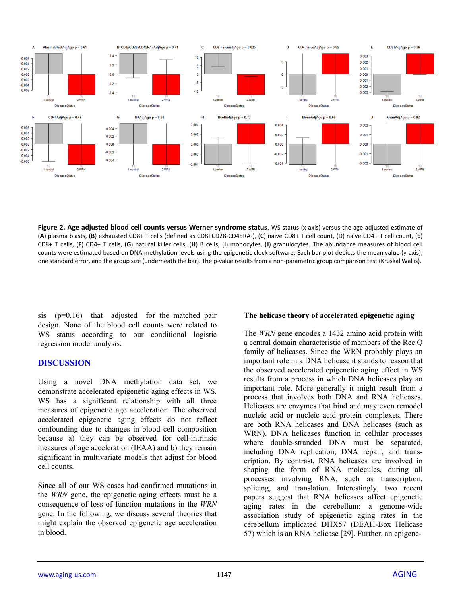

**Figure 2. Age adjusted blood cell counts versus Werner syndrome status**. WS status (x‐axis) versus the age adjusted estimate of (**A**) plasma blasts, (**B**) exhausted CD8+ T cells (defined as CD8+CD28‐CD45RA‐), (**C**) naïve CD8+ T cell count, (D) naïve CD4+ T cell count, (**E**) CD8+ T cells, (**F**) CD4+ T cells, (**G**) natural killer cells, (**H**) B cells, (**I**) monocytes, (**J**) granulocytes. The abundance measures of blood cell counts were estimated based on DNA methylation levels using the epigenetic clock software. Each bar plot depicts the mean value (y-axis), one standard error, and the group size (underneath the bar). The p-value results from a non-parametric group comparison test (Kruskal Wallis).

sis (p=0.16) that adjusted for the matched pair design. None of the blood cell counts were related to WS status according to our conditional logistic regression model analysis.

## **DISCUSSION**

Using a novel DNA methylation data set, we demonstrate accelerated epigenetic aging effects in WS. WS has a significant relationship with all three measures of epigenetic age acceleration. The observed accelerated epigenetic aging effects do not reflect confounding due to changes in blood cell composition because a) they can be observed for cell-intrinsic measures of age acceleration (IEAA) and b) they remain significant in multivariate models that adjust for blood cell counts.

Since all of our WS cases had confirmed mutations in the *WRN* gene, the epigenetic aging effects must be a consequence of loss of function mutations in the *WRN* gene. In the following, we discuss several theories that might explain the observed epigenetic age acceleration in blood.

## **The helicase theory of accelerated epigenetic aging**

The *WRN* gene encodes a 1432 amino acid protein with a central domain characteristic of members of the Rec Q family of helicases. Since the WRN probably plays an important role in a DNA helicase it stands to reason that the observed accelerated epigenetic aging effect in WS results from a process in which DNA helicases play an important role. More generally it might result from a process that involves both DNA and RNA helicases. Helicases are enzymes that bind and may even remodel nucleic acid or nucleic acid protein complexes. There are both RNA helicases and DNA helicases (such as WRN). DNA helicases function in cellular processes where double-stranded DNA must be separated, including DNA replication, DNA repair, and transcription. By contrast, RNA helicases are involved in shaping the form of RNA molecules, during all processes involving RNA, such as transcription, splicing, and translation. Interestingly, two recent papers suggest that RNA helicases affect epigenetic aging rates in the cerebellum: a genome-wide association study of epigenetic aging rates in the cerebellum implicated DHX57 (DEAH-Box Helicase 57) which is an RNA helicase [29]. Further, an epigene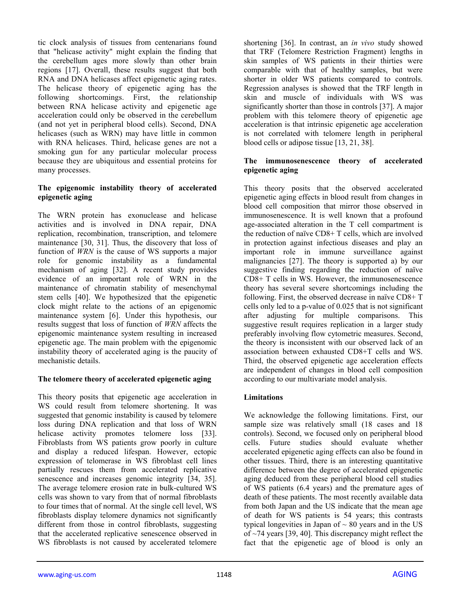tic clock analysis of tissues from centenarians found that "helicase activity" might explain the finding that the cerebellum ages more slowly than other brain regions [17]. Overall, these results suggest that both RNA and DNA helicases affect epigenetic aging rates. The helicase theory of epigenetic aging has the following shortcomings. First, the relationship between RNA helicase activity and epigenetic age acceleration could only be observed in the cerebellum (and not yet in peripheral blood cells). Second, DNA helicases (such as WRN) may have little in common with RNA helicases. Third, helicase genes are not a smoking gun for any particular molecular process because they are ubiquitous and essential proteins for many processes.

## **The epigenomic instability theory of accelerated epigenetic aging**

The WRN protein has exonuclease and helicase activities and is involved in DNA repair, DNA replication, recombination, transcription, and telomere maintenance [30, 31]. Thus, the discovery that loss of function of *WRN* is the cause of WS supports a major role for genomic instability as a fundamental mechanism of aging [32]. A recent study provides evidence of an important role of WRN in the maintenance of chromatin stability of mesenchymal stem cells [40]. We hypothesized that the epigenetic clock might relate to the actions of an epigenomic maintenance system [6]. Under this hypothesis, our results suggest that loss of function of *WRN* affects the epigenomic maintenance system resulting in increased epigenetic age. The main problem with the epigenomic instability theory of accelerated aging is the paucity of mechanistic details.

## **The telomere theory of accelerated epigenetic aging**

This theory posits that epigenetic age acceleration in WS could result from telomere shortening. It was suggested that genomic instability is caused by telomere loss during DNA replication and that loss of WRN helicase activity promotes telomere loss [33]. Fibroblasts from WS patients grow poorly in culture and display a reduced lifespan. However, ectopic expression of telomerase in WS fibroblast cell lines partially rescues them from accelerated replicative senescence and increases genomic integrity [34, 35]. The average telomere erosion rate in bulk-cultured WS cells was shown to vary from that of normal fibroblasts to four times that of normal. At the single cell level, WS fibroblasts display telomere dynamics not significantly different from those in control fibroblasts, suggesting that the accelerated replicative senescence observed in WS fibroblasts is not caused by accelerated telomere

shortening [36]. In contrast, an *in vivo* study showed that TRF (Telomere Restriction Fragment) lengths in skin samples of WS patients in their thirties were comparable with that of healthy samples, but were shorter in older WS patients compared to controls. Regression analyses is showed that the TRF length in skin and muscle of individuals with WS was significantly shorter than those in controls [37]. A major problem with this telomere theory of epigenetic age acceleration is that intrinsic epigenetic age acceleration is not correlated with telomere length in peripheral blood cells or adipose tissue [13, 21, 38].

## **The immunosenescence theory of accelerated epigenetic aging**

This theory posits that the observed accelerated epigenetic aging effects in blood result from changes in blood cell composition that mirror those observed in immunosenescence. It is well known that a profound age-associated alteration in the T cell compartment is the reduction of naïve CD8+ T cells, which are involved in protection against infectious diseases and play an important role in immune surveillance against malignancies [27]. The theory is supported a) by our suggestive finding regarding the reduction of naïve CD8+ T cells in WS. However, the immunosenescence theory has several severe shortcomings including the following. First, the observed decrease in naïve CD8+ T cells only led to a p-value of 0.025 that is not significant after adjusting for multiple comparisons. This suggestive result requires replication in a larger study preferably involving flow cytometric measures. Second, the theory is inconsistent with our observed lack of an association between exhausted CD8+T cells and WS. Third, the observed epigenetic age acceleration effects are independent of changes in blood cell composition according to our multivariate model analysis.

## **Limitations**

We acknowledge the following limitations. First, our sample size was relatively small (18 cases and 18 controls). Second, we focused only on peripheral blood cells. Future studies should evaluate whether accelerated epigenetic aging effects can also be found in other tissues. Third, there is an interesting quantitative difference between the degree of accelerated epigenetic aging deduced from these peripheral blood cell studies of WS patients (6.4 years) and the premature ages of death of these patients. The most recently available data from both Japan and the US indicate that the mean age of death for WS patients is 54 years; this contrasts typical longevities in Japan of  $\sim 80$  years and in the US of ~74 years [39, 40]. This discrepancy might reflect the fact that the epigenetic age of blood is only an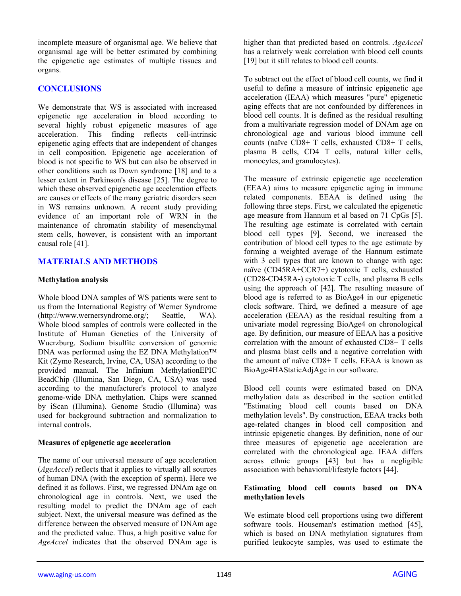incomplete measure of organismal age. We believe that organismal age will be better estimated by combining the epigenetic age estimates of multiple tissues and organs.

## **CONCLUSIONS**

We demonstrate that WS is associated with increased epigenetic age acceleration in blood according to several highly robust epigenetic measures of age acceleration. This finding reflects cell-intrinsic epigenetic aging effects that are independent of changes in cell composition. Epigenetic age acceleration of blood is not specific to WS but can also be observed in other conditions such as Down syndrome [18] and to a lesser extent in Parkinson's disease [25]. The degree to which these observed epigenetic age acceleration effects are causes or effects of the many geriatric disorders seen in WS remains unknown. A recent study providing evidence of an important role of WRN in the maintenance of chromatin stability of mesenchymal stem cells, however, is consistent with an important causal role [41].

## **MATERIALS AND METHODS**

## **Methylation analysis**

Whole blood DNA samples of WS patients were sent to us from the International Registry of Werner Syndrome (http://www.wernersyndrome.org/; Seattle, WA). Whole blood samples of controls were collected in the Institute of Human Genetics of the University of Wuerzburg. Sodium bisulfite conversion of genomic DNA was performed using the EZ DNA Methylation™ Kit (Zymo Research, Irvine, CA, USA) according to the provided manual. The Infinium MethylationEPIC BeadChip (Illumina, San Diego, CA, USA) was used according to the manufacturer's protocol to analyze genome-wide DNA methylation. Chips were scanned by iScan (Illumina). Genome Studio (Illumina) was used for background subtraction and normalization to internal controls.

## **Measures of epigenetic age acceleration**

The name of our universal measure of age acceleration (*AgeAccel*) reflects that it applies to virtually all sources of human DNA (with the exception of sperm). Here we defined it as follows. First, we regressed DNAm age on chronological age in controls. Next, we used the resulting model to predict the DNAm age of each subject. Next, the universal measure was defined as the difference between the observed measure of DNAm age and the predicted value. Thus, a high positive value for *AgeAccel* indicates that the observed DNAm age is

higher than that predicted based on controls. *AgeAccel*  has a relatively weak correlation with blood cell counts [19] but it still relates to blood cell counts.

To subtract out the effect of blood cell counts, we find it useful to define a measure of intrinsic epigenetic age acceleration (IEAA) which measures "pure" epigenetic aging effects that are not confounded by differences in blood cell counts. It is defined as the residual resulting from a multivariate regression model of DNAm age on chronological age and various blood immune cell counts (naïve CD8+ T cells, exhausted CD8+ T cells, plasma B cells, CD4 T cells, natural killer cells, monocytes, and granulocytes).

The measure of extrinsic epigenetic age acceleration (EEAA) aims to measure epigenetic aging in immune related components. EEAA is defined using the following three steps. First, we calculated the epigenetic age measure from Hannum et al based on 71 CpGs [5]. The resulting age estimate is correlated with certain blood cell types [9]. Second, we increased the contribution of blood cell types to the age estimate by forming a weighted average of the Hannum estimate with 3 cell types that are known to change with age: naïve (CD45RA+CCR7+) cytotoxic T cells, exhausted (CD28-CD45RA-) cytotoxic T cells, and plasma B cells using the approach of [42]. The resulting measure of blood age is referred to as BioAge4 in our epigenetic clock software. Third, we defined a measure of age acceleration (EEAA) as the residual resulting from a univariate model regressing BioAge4 on chronological age. By definition, our measure of EEAA has a positive correlation with the amount of exhausted CD8+ T cells and plasma blast cells and a negative correlation with the amount of naïve CD8+ T cells. EEAA is known as BioAge4HAStaticAdjAge in our software.

Blood cell counts were estimated based on DNA methylation data as described in the section entitled "Estimating blood cell counts based on DNA methylation levels". By construction, EEAA tracks both age-related changes in blood cell composition and intrinsic epigenetic changes. By definition, none of our three measures of epigenetic age acceleration are correlated with the chronological age. IEAA differs across ethnic groups [43] but has a negligible association with behavioral/lifestyle factors [44].

## **Estimating blood cell counts based on DNA methylation levels**

We estimate blood cell proportions using two different software tools. Houseman's estimation method [45], which is based on DNA methylation signatures from purified leukocyte samples, was used to estimate the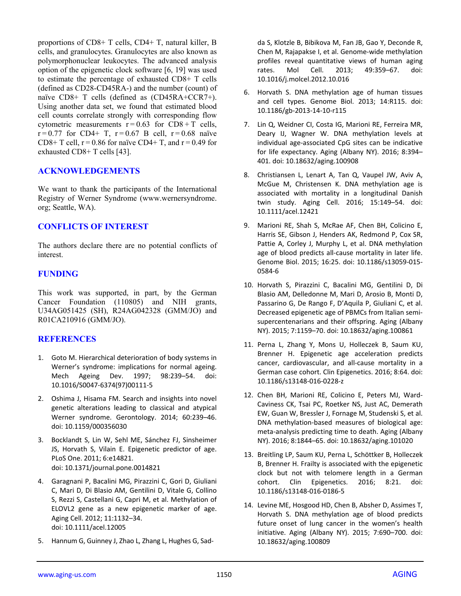proportions of CD8+ T cells, CD4+ T, natural killer, B cells, and granulocytes. Granulocytes are also known as polymorphonuclear leukocytes. The advanced analysis option of the epigenetic clock software [6, 19] was used to estimate the percentage of exhausted CD8+ T cells (defined as CD28-CD45RA-) and the number (count) of naïve CD8+ T cells (defined as (CD45RA+CCR7+). Using another data set, we found that estimated blood cell counts correlate strongly with corresponding flow cytometric measurements  $r = 0.63$  for CD8 + T cells,  $r = 0.77$  for CD4+ T,  $r = 0.67$  B cell,  $r = 0.68$  naïve CD8+ T cell,  $r = 0.86$  for naïve CD4+ T, and  $r = 0.49$  for exhausted CD8+ T cells [43].

## **ACKNOWLEDGEMENTS**

We want to thank the participants of the International Registry of Werner Syndrome (www.wernersyndrome. org; Seattle, WA).

## **CONFLICTS OF INTEREST**

The authors declare there are no potential conflicts of interest.

# **FUNDING**

This work was supported, in part, by the German Cancer Foundation (110805) and NIH grants, U34AG051425 (SH), R24AG042328 (GMM/JO) and R01CA210916 (GMM/JO).

# **REFERENCES**

- 1. Goto M. Hierarchical deterioration of body systems in Werner's syndrome: implications for normal ageing. Mech Ageing Dev. 1997; 98:239–54. doi: 10.1016/S0047‐6374(97)00111‐5
- 2. Oshima J, Hisama FM. Search and insights into novel genetic alterations leading to classical and atypical Werner syndrome. Gerontology. 2014; 60:239–46. doi: 10.1159/000356030
- 3. Bocklandt S, Lin W, Sehl ME, Sánchez FJ, Sinsheimer JS, Horvath S, Vilain E. Epigenetic predictor of age. PLoS One. 2011; 6:e14821. doi: 10.1371/journal.pone.0014821
- 4. Garagnani P, Bacalini MG, Pirazzini C, Gori D, Giuliani C, Mari D, Di Blasio AM, Gentilini D, Vitale G, Collino S, Rezzi S, Castellani G, Capri M, et al. Methylation of ELOVL2 gene as a new epigenetic marker of age. Aging Cell. 2012; 11:1132–34. doi: 10.1111/acel.12005
- 5. Hannum G, Guinney J, Zhao L, Zhang L, Hughes G, Sad‐

da S, Klotzle B, Bibikova M, Fan JB, Gao Y, Deconde R, Chen M, Rajapakse I, et al. Genome‐wide methylation profiles reveal quantitative views of human aging rates. Mol Cell. 2013; 49:359–67. doi: 10.1016/j.molcel.2012.10.016

- 6. Horvath S. DNA methylation age of human tissues and cell types. Genome Biol. 2013; 14:R115. doi: 10.1186/gb‐2013‐14‐10‐r115
- 7. Lin Q, Weidner CI, Costa IG, Marioni RE, Ferreira MR, Deary IJ, Wagner W. DNA methylation levels at individual age‐associated CpG sites can be indicative for life expectancy. Aging (Albany NY). 2016; 8:394– 401. doi: 10.18632/aging.100908
- 8. Christiansen L, Lenart A, Tan Q, Vaupel JW, Aviv A, McGue M, Christensen K. DNA methylation age is associated with mortality in a longitudinal Danish twin study. Aging Cell. 2016; 15:149–54. doi: 10.1111/acel.12421
- 9. Marioni RE, Shah S, McRae AF, Chen BH, Colicino E, Harris SE, Gibson J, Henders AK, Redmond P, Cox SR, Pattie A, Corley J, Murphy L, et al. DNA methylation age of blood predicts all‐cause mortality in later life. Genome Biol. 2015; 16:25. doi: 10.1186/s13059‐015‐ 0584‐6
- 10. Horvath S, Pirazzini C, Bacalini MG, Gentilini D, Di Blasio AM, Delledonne M, Mari D, Arosio B, Monti D, Passarino G, De Rango F, D'Aquila P, Giuliani C, et al. Decreased epigenetic age of PBMCs from Italian semi‐ supercentenarians and their offspring. Aging (Albany NY). 2015; 7:1159–70. doi: 10.18632/aging.100861
- 11. Perna L, Zhang Y, Mons U, Holleczek B, Saum KU, Brenner H. Epigenetic age acceleration predicts cancer, cardiovascular, and all‐cause mortality in a German case cohort. Clin Epigenetics. 2016; 8:64. doi: 10.1186/s13148‐016‐0228‐z
- 12. Chen BH, Marioni RE, Colicino E, Peters MJ, Ward‐ Caviness CK, Tsai PC, Roetker NS, Just AC, Demerath EW, Guan W, Bressler J, Fornage M, Studenski S, et al. DNA methylation‐based measures of biological age: meta‐analysis predicting time to death. Aging (Albany NY). 2016; 8:1844–65. doi: 10.18632/aging.101020
- 13. Breitling LP, Saum KU, Perna L, Schöttker B, Holleczek B, Brenner H. Frailty is associated with the epigenetic clock but not with telomere length in a German cohort. Clin Epigenetics. 2016; 8:21. doi: 10.1186/s13148‐016‐0186‐5
- 14. Levine ME, Hosgood HD, Chen B, Absher D, Assimes T, Horvath S. DNA methylation age of blood predicts future onset of lung cancer in the women's health initiative. Aging (Albany NY). 2015; 7:690–700. doi: 10.18632/aging.100809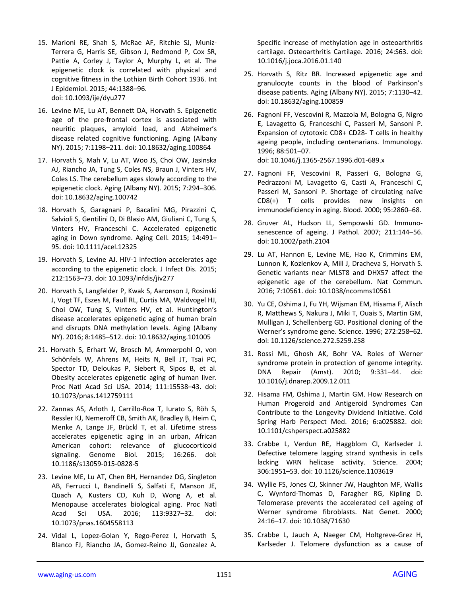- 15. Marioni RE, Shah S, McRae AF, Ritchie SJ, Muniz‐ Terrera G, Harris SE, Gibson J, Redmond P, Cox SR, Pattie A, Corley J, Taylor A, Murphy L, et al. The epigenetic clock is correlated with physical and cognitive fitness in the Lothian Birth Cohort 1936. Int J Epidemiol. 2015; 44:1388–96. doi: 10.1093/ije/dyu277
- 16. Levine ME, Lu AT, Bennett DA, Horvath S. Epigenetic age of the pre‐frontal cortex is associated with neuritic plaques, amyloid load, and Alzheimer's disease related cognitive functioning. Aging (Albany NY). 2015; 7:1198–211. doi: 10.18632/aging.100864
- 17. Horvath S, Mah V, Lu AT, Woo JS, Choi OW, Jasinska AJ, Riancho JA, Tung S, Coles NS, Braun J, Vinters HV, Coles LS. The cerebellum ages slowly according to the epigenetic clock. Aging (Albany NY). 2015; 7:294–306. doi: 10.18632/aging.100742
- 18. Horvath S, Garagnani P, Bacalini MG, Pirazzini C, Salvioli S, Gentilini D, Di Blasio AM, Giuliani C, Tung S, Vinters HV, Franceschi C. Accelerated epigenetic aging in Down syndrome. Aging Cell. 2015; 14:491– 95. doi: 10.1111/acel.12325
- 19. Horvath S, Levine AJ. HIV-1 infection accelerates age according to the epigenetic clock. J Infect Dis. 2015; 212:1563–73. doi: 10.1093/infdis/jiv277
- 20. Horvath S, Langfelder P, Kwak S, Aaronson J, Rosinski J, Vogt TF, Eszes M, Faull RL, Curtis MA, Waldvogel HJ, Choi OW, Tung S, Vinters HV, et al. Huntington's disease accelerates epigenetic aging of human brain and disrupts DNA methylation levels. Aging (Albany NY). 2016; 8:1485–512. doi: 10.18632/aging.101005
- 21. Horvath S, Erhart W, Brosch M, Ammerpohl O, von Schönfels W, Ahrens M, Heits N, Bell JT, Tsai PC, Spector TD, Deloukas P, Siebert R, Sipos B, et al. Obesity accelerates epigenetic aging of human liver. Proc Natl Acad Sci USA. 2014; 111:15538–43. doi: 10.1073/pnas.1412759111
- 22. Zannas AS, Arloth J, Carrillo‐Roa T, Iurato S, Röh S, Ressler KJ, Nemeroff CB, Smith AK, Bradley B, Heim C, Menke A, Lange JF, Brückl T, et al. Lifetime stress accelerates epigenetic aging in an urban, African American cohort: relevance of glucocorticoid signaling. Genome Biol. 2015; 16:266. doi: 10.1186/s13059‐015‐0828‐5
- 23. Levine ME, Lu AT, Chen BH, Hernandez DG, Singleton AB, Ferrucci L, Bandinelli S, Salfati E, Manson JE, Quach A, Kusters CD, Kuh D, Wong A, et al. Menopause accelerates biological aging. Proc Natl Acad Sci USA. 2016; 113:9327–32. doi: 10.1073/pnas.1604558113
- 24. Vidal L, Lopez‐Golan Y, Rego‐Perez I, Horvath S, Blanco FJ, Riancho JA, Gomez‐Reino JJ, Gonzalez A.

Specific increase of methylation age in osteoarthritis cartilage. Osteoarthritis Cartilage. 2016; 24:S63. doi: 10.1016/j.joca.2016.01.140

- 25. Horvath S, Ritz BR. Increased epigenetic age and granulocyte counts in the blood of Parkinson's disease patients. Aging (Albany NY). 2015; 7:1130–42. doi: 10.18632/aging.100859
- 26. Fagnoni FF, Vescovini R, Mazzola M, Bologna G, Nigro E, Lavagetto G, Franceschi C, Passeri M, Sansoni P. Expansion of cytotoxic CD8+ CD28‐ T cells in healthy ageing people, including centenarians. Immunology. 1996; 88:501–07. doi: 10.1046/j.1365‐2567.1996.d01‐689.x
- 27. Fagnoni FF, Vescovini R, Passeri G, Bologna G, Pedrazzoni M, Lavagetto G, Casti A, Franceschi C, Passeri M, Sansoni P. Shortage of circulating naïve CD8(+) T cells provides new insights on immunodeficiency in aging. Blood. 2000; 95:2860–68.
- 28. Gruver AL, Hudson LL, Sempowski GD. Immuno‐ senescence of ageing. J Pathol. 2007; 211:144–56. doi: 10.1002/path.2104
- 29. Lu AT, Hannon E, Levine ME, Hao K, Crimmins EM, Lunnon K, Kozlenkov A, Mill J, Dracheva S, Horvath S. Genetic variants near MLST8 and DHX57 affect the epigenetic age of the cerebellum. Nat Commun. 2016; 7:10561. doi: 10.1038/ncomms10561
- 30. Yu CE, Oshima J, Fu YH, Wijsman EM, Hisama F, Alisch R, Matthews S, Nakura J, Miki T, Ouais S, Martin GM, Mulligan J, Schellenberg GD. Positional cloning of the Werner's syndrome gene. Science. 1996; 272:258–62. doi: 10.1126/science.272.5259.258
- 31. Rossi ML, Ghosh AK, Bohr VA. Roles of Werner syndrome protein in protection of genome integrity. DNA Repair (Amst). 2010; 9:331–44. doi: 10.1016/j.dnarep.2009.12.011
- 32. Hisama FM, Oshima J, Martin GM. How Research on Human Progeroid and Antigeroid Syndromes Can Contribute to the Longevity Dividend Initiative. Cold Spring Harb Perspect Med. 2016; 6:a025882. doi: 10.1101/cshperspect.a025882
- 33. Crabbe L, Verdun RE, Haggblom CI, Karlseder J. Defective telomere lagging strand synthesis in cells lacking WRN helicase activity. Science. 2004; 306:1951–53. doi: 10.1126/science.1103619
- 34. Wyllie FS, Jones CJ, Skinner JW, Haughton MF, Wallis C, Wynford‐Thomas D, Faragher RG, Kipling D. Telomerase prevents the accelerated cell ageing of Werner syndrome fibroblasts. Nat Genet. 2000; 24:16–17. doi: 10.1038/71630
- 35. Crabbe L, Jauch A, Naeger CM, Holtgreve‐Grez H, Karlseder J. Telomere dysfunction as a cause of